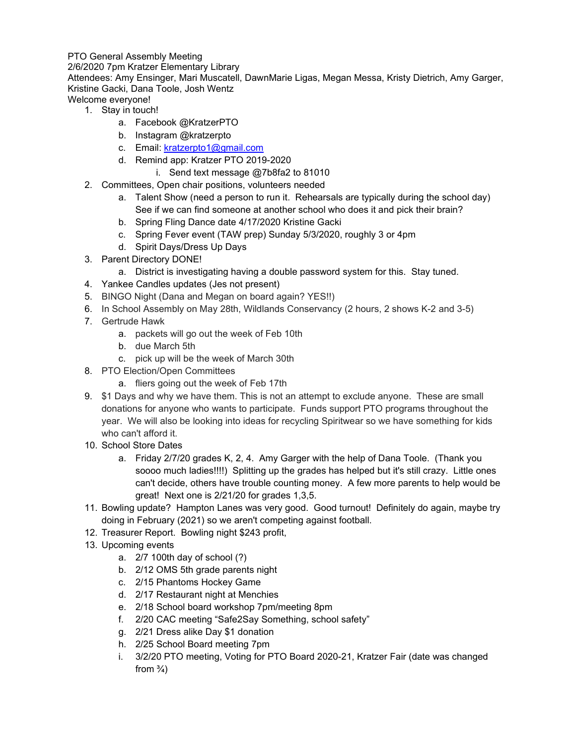## PTO General Assembly Meeting

2/6/2020 7pm Kratzer Elementary Library

Attendees: Amy Ensinger, Mari Muscatell, DawnMarie Ligas, Megan Messa, Kristy Dietrich, Amy Garger, Kristine Gacki, Dana Toole, Josh Wentz Welcome everyone!

- 1. Stay in touch!
	- a. Facebook @KratzerPTO
	- b. Instagram @kratzerpto
	- c. Email: [kratzerpto1@gmail.com](mailto:kratzerpto1@gmail.com)
	- d. Remind app: Kratzer PTO 2019-2020
		- i. Send text message @7b8fa2 to 81010
- 2. Committees, Open chair positions, volunteers needed
	- a. Talent Show (need a person to run it. Rehearsals are typically during the school day) See if we can find someone at another school who does it and pick their brain?
	- b. Spring Fling Dance date 4/17/2020 Kristine Gacki
	- c. Spring Fever event (TAW prep) Sunday 5/3/2020, roughly 3 or 4pm
	- d. Spirit Days/Dress Up Days
- 3. Parent Directory DONE!
	- a. District is investigating having a double password system for this. Stay tuned.
- 4. Yankee Candles updates (Jes not present)
- 5. BINGO Night (Dana and Megan on board again? YES!!)
- 6. In School Assembly on May 28th, Wildlands Conservancy (2 hours, 2 shows K-2 and 3-5)
- 7. Gertrude Hawk
	- a. packets will go out the week of Feb 10th
	- b. due March 5th
	- c. pick up will be the week of March 30th
- 8. PTO Election/Open Committees
	- a. fliers going out the week of Feb 17th
- 9. \$1 Days and why we have them. This is not an attempt to exclude anyone. These are small donations for anyone who wants to participate. Funds support PTO programs throughout the year. We will also be looking into ideas for recycling Spiritwear so we have something for kids who can't afford it.
- 10. School Store Dates
	- a. Friday 2/7/20 grades K, 2, 4. Amy Garger with the help of Dana Toole. (Thank you soooo much ladies!!!!) Splitting up the grades has helped but it's still crazy. Little ones can't decide, others have trouble counting money. A few more parents to help would be great! Next one is 2/21/20 for grades 1,3,5.
- 11. Bowling update? Hampton Lanes was very good. Good turnout! Definitely do again, maybe try doing in February (2021) so we aren't competing against football.
- 12. Treasurer Report. Bowling night \$243 profit,
- 13. Upcoming events
	- a. 2/7 100th day of school (?)
	- b. 2/12 OMS 5th grade parents night
	- c. 2/15 Phantoms Hockey Game
	- d. 2/17 Restaurant night at Menchies
	- e. 2/18 School board workshop 7pm/meeting 8pm
	- f. 2/20 CAC meeting "Safe2Say Something, school safety"
	- g. 2/21 Dress alike Day \$1 donation
	- h. 2/25 School Board meeting 7pm
	- i. 3/2/20 PTO meeting, Voting for PTO Board 2020-21, Kratzer Fair (date was changed from  $\frac{3}{4}$ )